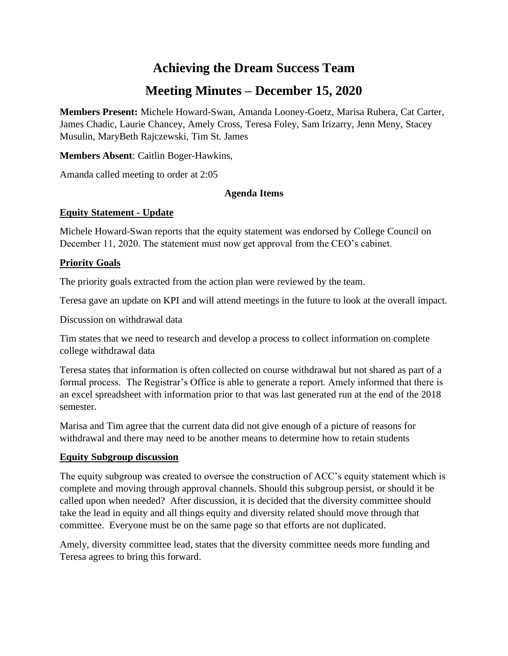# **Achieving the Dream Success Team**

# **Meeting Minutes – December 15, 2020**

**Members Present:** Michele Howard-Swan, Amanda Looney-Goetz, Marisa Rubera, Cat Carter, James Chadic, Laurie Chancey, Amely Cross, Teresa Foley, Sam Irizarry, Jenn Meny, Stacey Musulin, MaryBeth Rajczewski, Tim St. James

**Members Absent**: Caitlin Boger-Hawkins,

Amanda called meeting to order at 2:05

### **Agenda Items**

## **Equity Statement - Update**

Michele Howard-Swan reports that the equity statement was endorsed by College Council on December 11, 2020. The statement must now get approval from the CEO's cabinet.

# **Priority Goals**

The priority goals extracted from the action plan were reviewed by the team.

Teresa gave an update on KPI and will attend meetings in the future to look at the overall impact.

Discussion on withdrawal data

Tim states that we need to research and develop a process to collect information on complete college withdrawal data

Teresa states that information is often collected on course withdrawal but not shared as part of a formal process. The Registrar's Office is able to generate a report. Amely informed that there is an excel spreadsheet with information prior to that was last generated run at the end of the 2018 semester.

Marisa and Tim agree that the current data did not give enough of a picture of reasons for withdrawal and there may need to be another means to determine how to retain students

### **Equity Subgroup discussion**

The equity subgroup was created to oversee the construction of ACC's equity statement which is complete and moving through approval channels. Should this subgroup persist, or should it be called upon when needed? After discussion, it is decided that the diversity committee should take the lead in equity and all things equity and diversity related should move through that committee. Everyone must be on the same page so that efforts are not duplicated.

Amely, diversity committee lead, states that the diversity committee needs more funding and Teresa agrees to bring this forward.